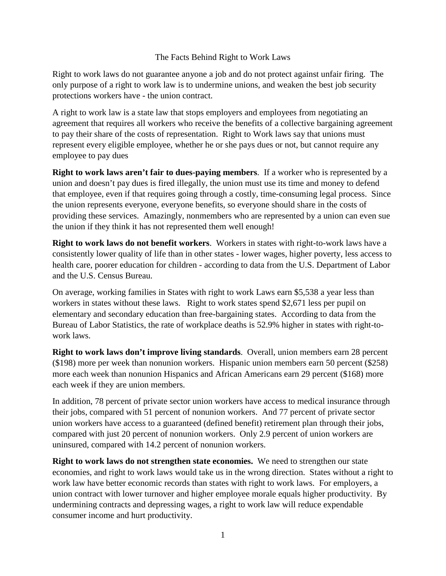## The Facts Behind Right to Work Laws

Right to work laws do not guarantee anyone a job and do not protect against unfair firing. The only purpose of a right to work law is to undermine unions, and weaken the best job security protections workers have - the union contract.

A right to work law is a state law that stops employers and employees from negotiating an agreement that requires all workers who receive the benefits of a collective bargaining agreement to pay their share of the costs of representation. Right to Work laws say that unions must represent every eligible employee, whether he or she pays dues or not, but cannot require any employee to pay dues

**Right to work laws aren't fair to dues-paying members**. If a worker who is represented by a union and doesn't pay dues is fired illegally, the union must use its time and money to defend that employee, even if that requires going through a costly, time-consuming legal process. Since the union represents everyone, everyone benefits, so everyone should share in the costs of providing these services. Amazingly, nonmembers who are represented by a union can even sue the union if they think it has not represented them well enough!

**Right to work laws do not benefit workers**. Workers in states with right-to-work laws have a consistently lower quality of life than in other states - lower wages, higher poverty, less access to health care, poorer education for children - according to data from the U.S. Department of Labor and the U.S. Census Bureau.

On average, working families in States with right to work Laws earn \$5,538 a year less than workers in states without these laws. Right to work states spend \$2,671 less per pupil on elementary and secondary education than free-bargaining states. According to data from the Bureau of Labor Statistics, the rate of workplace deaths is 52.9% higher in states with right-towork laws.

**Right to work laws don't improve living standards**. Overall, union members earn 28 percent (\$198) more per week than nonunion workers. Hispanic union members earn 50 percent (\$258) more each week than nonunion Hispanics and African Americans earn 29 percent (\$168) more each week if they are union members.

In addition, 78 percent of private sector union workers have access to medical insurance through their jobs, compared with 51 percent of nonunion workers. And 77 percent of private sector union workers have access to a guaranteed (defined benefit) retirement plan through their jobs, compared with just 20 percent of nonunion workers. Only 2.9 percent of union workers are uninsured, compared with 14.2 percent of nonunion workers.

**Right to work laws do not strengthen state economies.** We need to strengthen our state economies, and right to work laws would take us in the wrong direction. States without a right to work law have better economic records than states with right to work laws. For employers, a union contract with lower turnover and higher employee morale equals higher productivity. By undermining contracts and depressing wages, a right to work law will reduce expendable consumer income and hurt productivity.